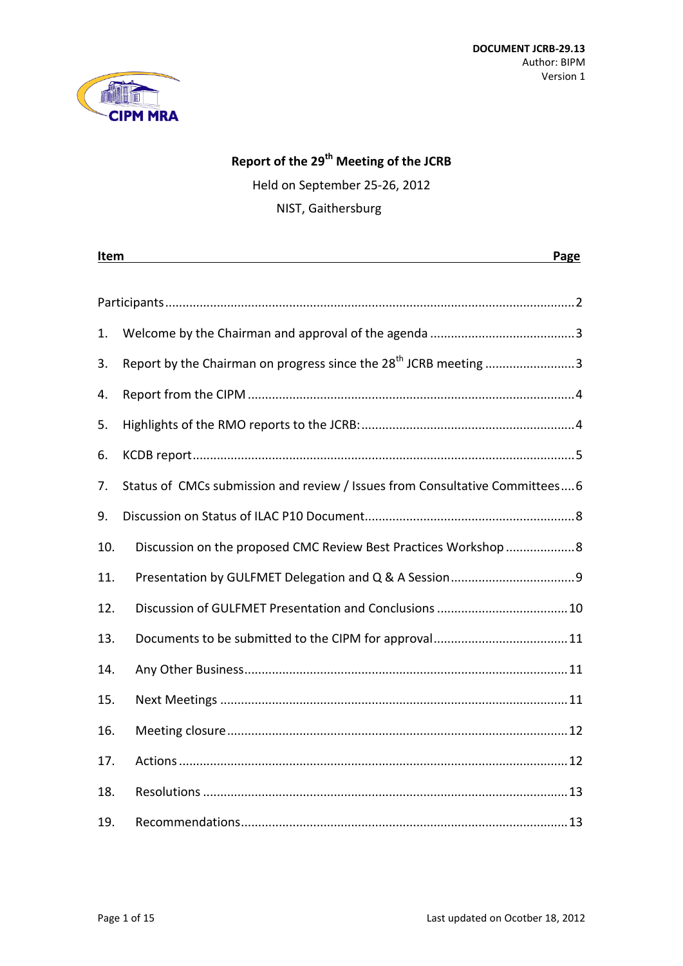

### **Report of the 29 th Meeting of the JCRB**

Held on September 25-26, 2012

NIST, Gaithersburg

| Item<br>Page |                                                                              |
|--------------|------------------------------------------------------------------------------|
|              |                                                                              |
|              |                                                                              |
| 1.           |                                                                              |
| 3.           | Report by the Chairman on progress since the 28 <sup>th</sup> JCRB meeting 3 |
| 4.           |                                                                              |
| 5.           |                                                                              |
| 6.           |                                                                              |
| 7.           | Status of CMCs submission and review / Issues from Consultative Committees6  |
| 9.           |                                                                              |
| 10.          | Discussion on the proposed CMC Review Best Practices Workshop  8             |
| 11.          |                                                                              |
| 12.          |                                                                              |
| 13.          |                                                                              |
| 14.          |                                                                              |
| 15.          |                                                                              |
| 16.          |                                                                              |
| 17.          |                                                                              |
| 18.          |                                                                              |
| 19.          |                                                                              |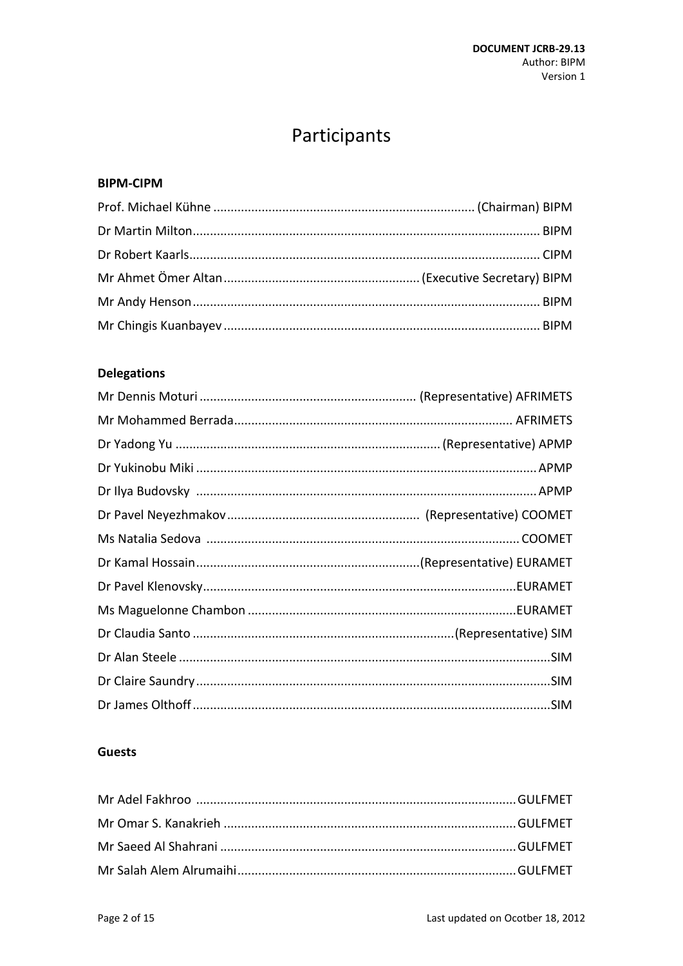# Participants

#### <span id="page-1-0"></span>**BIPM-CIPM**

### **Delegations**

#### **Guests**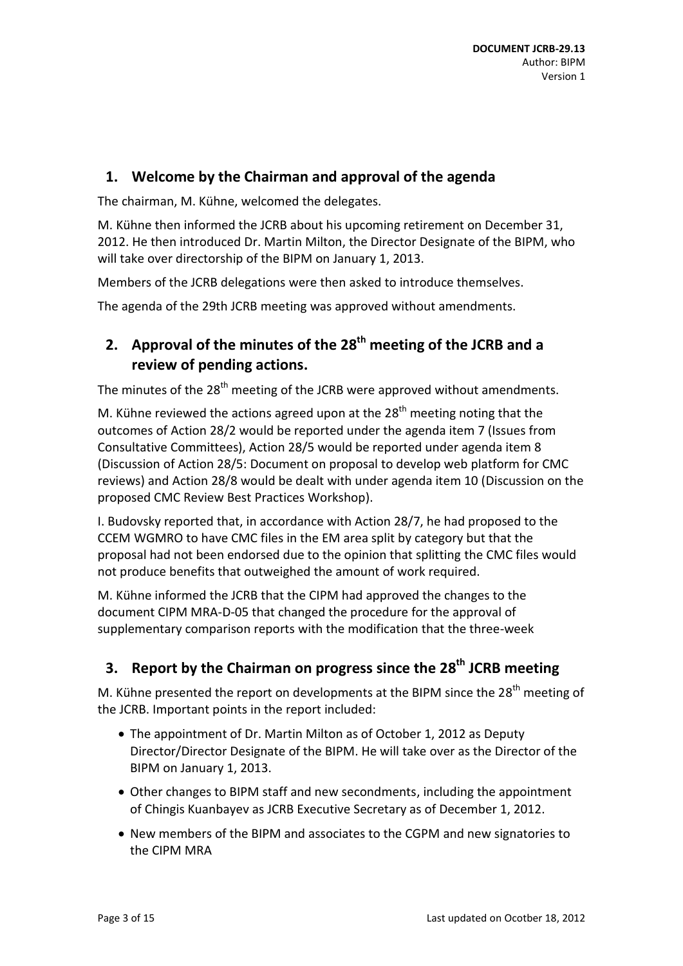# <span id="page-2-0"></span>**1. Welcome by the Chairman and approval of the agenda**

The chairman, M. Kühne, welcomed the delegates.

M. Kühne then informed the JCRB about his upcoming retirement on December 31, 2012. He then introduced Dr. Martin Milton, the Director Designate of the BIPM, who will take over directorship of the BIPM on January 1, 2013.

Members of the JCRB delegations were then asked to introduce themselves.

The agenda of the 29th JCRB meeting was approved without amendments.

# **2. Approval of the minutes of the 28 th meeting of the JCRB and a review of pending actions.**

The minutes of the 28<sup>th</sup> meeting of the JCRB were approved without amendments.

M. Kühne reviewed the actions agreed upon at the  $28<sup>th</sup>$  meeting noting that the outcomes of Action 28/2 would be reported under the agenda item 7 (Issues from Consultative Committees), Action 28/5 would be reported under agenda item 8 (Discussion of Action 28/5: Document on proposal to develop web platform for CMC reviews) and Action 28/8 would be dealt with under agenda item 10 (Discussion on the proposed CMC Review Best Practices Workshop).

I. Budovsky reported that, in accordance with Action 28/7, he had proposed to the CCEM WGMRO to have CMC files in the EM area split by category but that the proposal had not been endorsed due to the opinion that splitting the CMC files would not produce benefits that outweighed the amount of work required.

M. Kühne informed the JCRB that the CIPM had approved the changes to the document CIPM MRA-D-05 that changed the procedure for the approval of supplementary comparison reports with the modification that the three-week

# <span id="page-2-1"></span>**3. Report by the Chairman on progress since the 28 th JCRB meeting**

M. Kühne presented the report on developments at the BIPM since the 28<sup>th</sup> meeting of the JCRB. Important points in the report included:

- The appointment of Dr. Martin Milton as of October 1, 2012 as Deputy Director/Director Designate of the BIPM. He will take over as the Director of the BIPM on January 1, 2013.
- Other changes to BIPM staff and new secondments, including the appointment of Chingis Kuanbayev as JCRB Executive Secretary as of December 1, 2012.
- New members of the BIPM and associates to the CGPM and new signatories to the CIPM MRA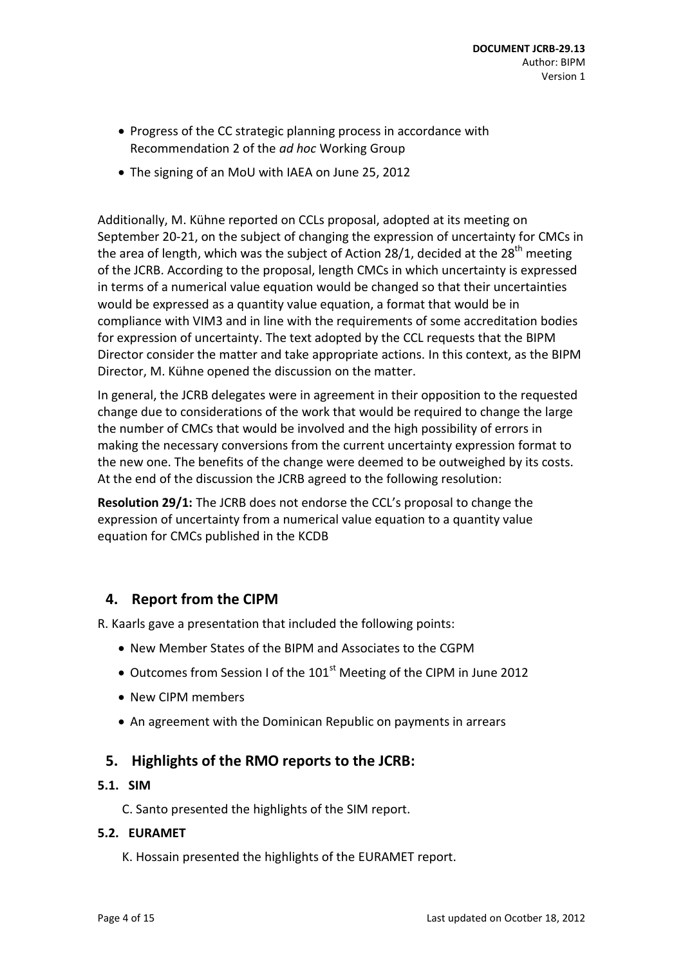- Progress of the CC strategic planning process in accordance with Recommendation 2 of the *ad hoc* Working Group
- The signing of an MoU with IAEA on June 25, 2012

Additionally, M. Kühne reported on CCLs proposal, adopted at its meeting on September 20-21, on the subject of changing the expression of uncertainty for CMCs in the area of length, which was the subject of Action 28/1, decided at the 28<sup>th</sup> meeting of the JCRB. According to the proposal, length CMCs in which uncertainty is expressed in terms of a numerical value equation would be changed so that their uncertainties would be expressed as a quantity value equation, a format that would be in compliance with VIM3 and in line with the requirements of some accreditation bodies for expression of uncertainty. The text adopted by the CCL requests that the BIPM Director consider the matter and take appropriate actions. In this context, as the BIPM Director, M. Kühne opened the discussion on the matter.

In general, the JCRB delegates were in agreement in their opposition to the requested change due to considerations of the work that would be required to change the large the number of CMCs that would be involved and the high possibility of errors in making the necessary conversions from the current uncertainty expression format to the new one. The benefits of the change were deemed to be outweighed by its costs. At the end of the discussion the JCRB agreed to the following resolution:

**Resolution 29/1:** The JCRB does not endorse the CCL's proposal to change the expression of uncertainty from a numerical value equation to a quantity value equation for CMCs published in the KCDB

# <span id="page-3-0"></span>**4. Report from the CIPM**

R. Kaarls gave a presentation that included the following points:

- New Member States of the BIPM and Associates to the CGPM
- $\bullet$  Outcomes from Session I of the 101<sup>st</sup> Meeting of the CIPM in June 2012
- New CIPM members
- An agreement with the Dominican Republic on payments in arrears

### <span id="page-3-1"></span>**5. Highlights of the RMO reports to the JCRB:**

#### **5.1. SIM**

C. Santo presented the highlights of the SIM report.

#### **5.2. EURAMET**

K. Hossain presented the highlights of the EURAMET report.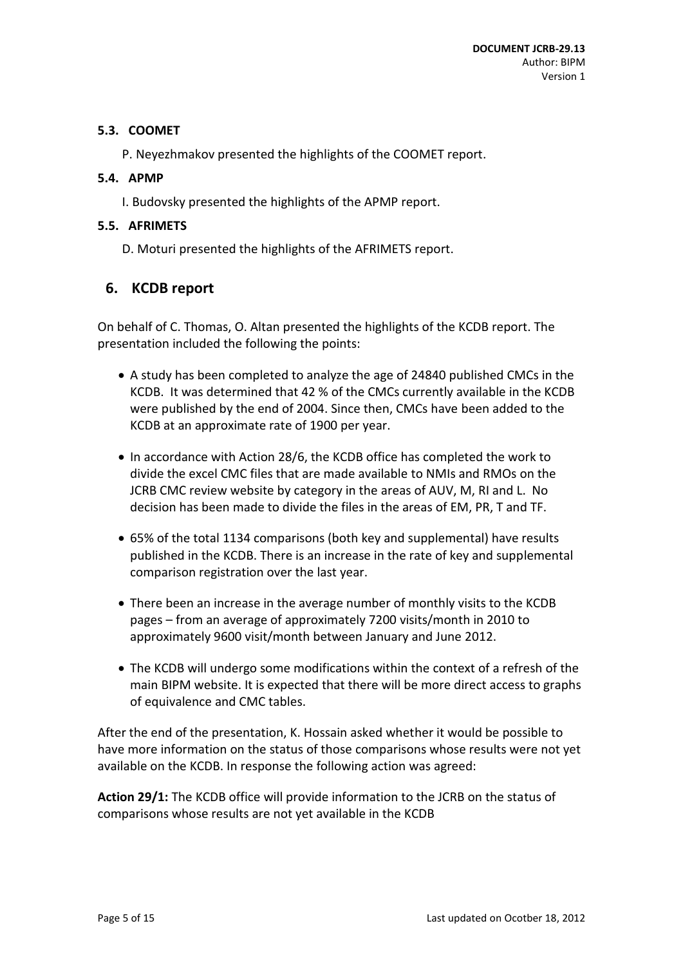### **5.3. COOMET**

P. Neyezhmakov presented the highlights of the COOMET report.

### **5.4. APMP**

I. Budovsky presented the highlights of the APMP report.

### **5.5. AFRIMETS**

D. Moturi presented the highlights of the AFRIMETS report.

# <span id="page-4-0"></span>**6. KCDB report**

On behalf of C. Thomas, O. Altan presented the highlights of the KCDB report. The presentation included the following the points:

- A study has been completed to analyze the age of 24840 published CMCs in the KCDB. It was determined that 42 % of the CMCs currently available in the KCDB were published by the end of 2004. Since then, CMCs have been added to the KCDB at an approximate rate of 1900 per year.
- In accordance with Action 28/6, the KCDB office has completed the work to divide the excel CMC files that are made available to NMIs and RMOs on the JCRB CMC review website by category in the areas of AUV, M, RI and L. No decision has been made to divide the files in the areas of EM, PR, T and TF.
- 65% of the total 1134 comparisons (both key and supplemental) have results published in the KCDB. There is an increase in the rate of key and supplemental comparison registration over the last year.
- There been an increase in the average number of monthly visits to the KCDB pages – from an average of approximately 7200 visits/month in 2010 to approximately 9600 visit/month between January and June 2012.
- The KCDB will undergo some modifications within the context of a refresh of the main BIPM website. It is expected that there will be more direct access to graphs of equivalence and CMC tables.

After the end of the presentation, K. Hossain asked whether it would be possible to have more information on the status of those comparisons whose results were not yet available on the KCDB. In response the following action was agreed:

**Action 29/1:** The KCDB office will provide information to the JCRB on the status of comparisons whose results are not yet available in the KCDB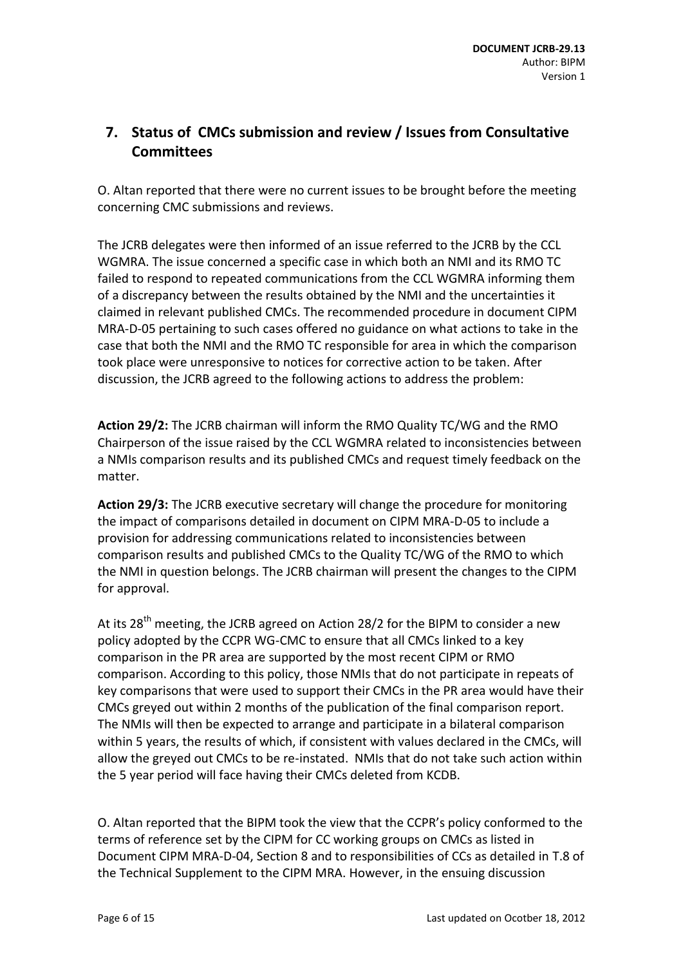# <span id="page-5-0"></span>**7. Status of CMCs submission and review / Issues from Consultative Committees**

O. Altan reported that there were no current issues to be brought before the meeting concerning CMC submissions and reviews.

The JCRB delegates were then informed of an issue referred to the JCRB by the CCL WGMRA. The issue concerned a specific case in which both an NMI and its RMO TC failed to respond to repeated communications from the CCL WGMRA informing them of a discrepancy between the results obtained by the NMI and the uncertainties it claimed in relevant published CMCs. The recommended procedure in document CIPM MRA-D-05 pertaining to such cases offered no guidance on what actions to take in the case that both the NMI and the RMO TC responsible for area in which the comparison took place were unresponsive to notices for corrective action to be taken. After discussion, the JCRB agreed to the following actions to address the problem:

**Action 29/2:** The JCRB chairman will inform the RMO Quality TC/WG and the RMO Chairperson of the issue raised by the CCL WGMRA related to inconsistencies between a NMIs comparison results and its published CMCs and request timely feedback on the matter.

**Action 29/3:** The JCRB executive secretary will change the procedure for monitoring the impact of comparisons detailed in document on CIPM MRA-D-05 to include a provision for addressing communications related to inconsistencies between comparison results and published CMCs to the Quality TC/WG of the RMO to which the NMI in question belongs. The JCRB chairman will present the changes to the CIPM for approval.

At its 28<sup>th</sup> meeting, the JCRB agreed on Action 28/2 for the BIPM to consider a new policy adopted by the CCPR WG-CMC to ensure that all CMCs linked to a key comparison in the PR area are supported by the most recent CIPM or RMO comparison. According to this policy, those NMIs that do not participate in repeats of key comparisons that were used to support their CMCs in the PR area would have their CMCs greyed out within 2 months of the publication of the final comparison report. The NMIs will then be expected to arrange and participate in a bilateral comparison within 5 years, the results of which, if consistent with values declared in the CMCs, will allow the greyed out CMCs to be re-instated. NMIs that do not take such action within the 5 year period will face having their CMCs deleted from KCDB.

O. Altan reported that the BIPM took the view that the CCPR's policy conformed to the terms of reference set by the CIPM for CC working groups on CMCs as listed in Document CIPM MRA-D-04, Section 8 and to responsibilities of CCs as detailed in T.8 of the Technical Supplement to the CIPM MRA. However, in the ensuing discussion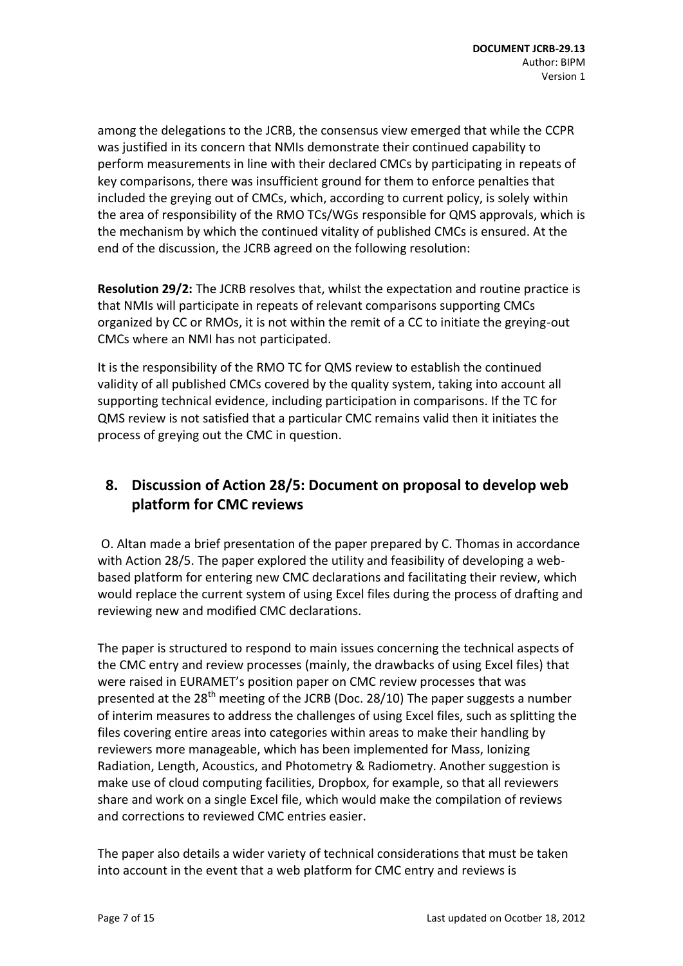among the delegations to the JCRB, the consensus view emerged that while the CCPR was justified in its concern that NMIs demonstrate their continued capability to perform measurements in line with their declared CMCs by participating in repeats of key comparisons, there was insufficient ground for them to enforce penalties that included the greying out of CMCs, which, according to current policy, is solely within the area of responsibility of the RMO TCs/WGs responsible for QMS approvals, which is the mechanism by which the continued vitality of published CMCs is ensured. At the end of the discussion, the JCRB agreed on the following resolution:

**Resolution 29/2:** The JCRB resolves that, whilst the expectation and routine practice is that NMIs will participate in repeats of relevant comparisons supporting CMCs organized by CC or RMOs, it is not within the remit of a CC to initiate the greying-out CMCs where an NMI has not participated.

It is the responsibility of the RMO TC for QMS review to establish the continued validity of all published CMCs covered by the quality system, taking into account all supporting technical evidence, including participation in comparisons. If the TC for QMS review is not satisfied that a particular CMC remains valid then it initiates the process of greying out the CMC in question.

# **8. Discussion of Action 28/5: Document on proposal to develop web platform for CMC reviews**

O. Altan made a brief presentation of the paper prepared by C. Thomas in accordance with Action 28/5. The paper explored the utility and feasibility of developing a webbased platform for entering new CMC declarations and facilitating their review, which would replace the current system of using Excel files during the process of drafting and reviewing new and modified CMC declarations.

The paper is structured to respond to main issues concerning the technical aspects of the CMC entry and review processes (mainly, the drawbacks of using Excel files) that were raised in EURAMET's position paper on CMC review processes that was presented at the  $28<sup>th</sup>$  meeting of the JCRB (Doc. 28/10) The paper suggests a number of interim measures to address the challenges of using Excel files, such as splitting the files covering entire areas into categories within areas to make their handling by reviewers more manageable, which has been implemented for Mass, Ionizing Radiation, Length, Acoustics, and Photometry & Radiometry. Another suggestion is make use of cloud computing facilities, Dropbox, for example, so that all reviewers share and work on a single Excel file, which would make the compilation of reviews and corrections to reviewed CMC entries easier.

The paper also details a wider variety of technical considerations that must be taken into account in the event that a web platform for CMC entry and reviews is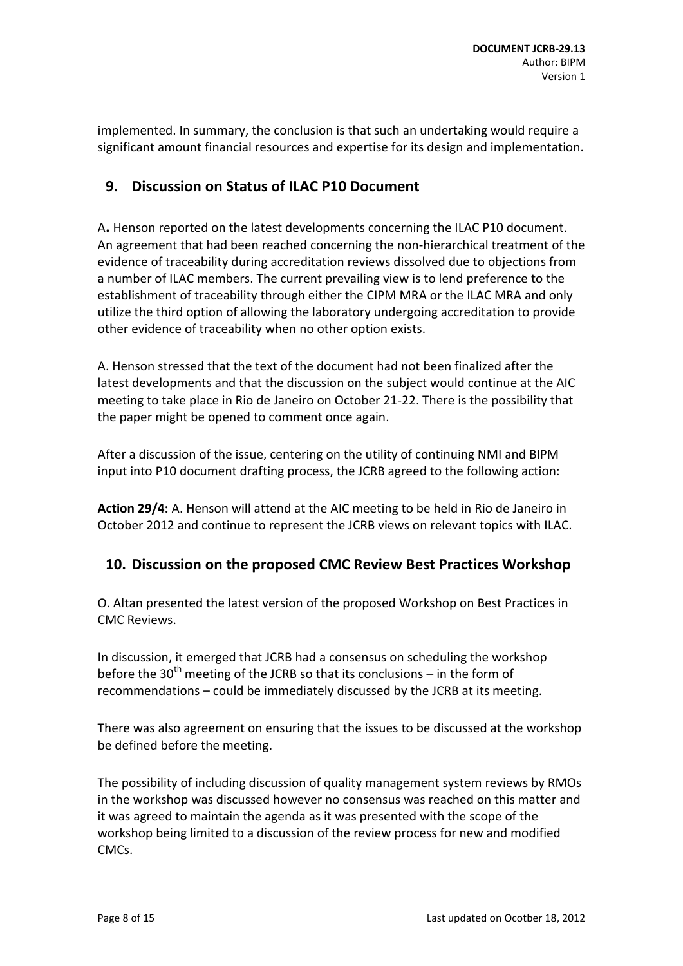implemented. In summary, the conclusion is that such an undertaking would require a significant amount financial resources and expertise for its design and implementation.

# <span id="page-7-0"></span>**9. Discussion on Status of ILAC P10 Document**

A**.** Henson reported on the latest developments concerning the ILAC P10 document. An agreement that had been reached concerning the non-hierarchical treatment of the evidence of traceability during accreditation reviews dissolved due to objections from a number of ILAC members. The current prevailing view is to lend preference to the establishment of traceability through either the CIPM MRA or the ILAC MRA and only utilize the third option of allowing the laboratory undergoing accreditation to provide other evidence of traceability when no other option exists.

A. Henson stressed that the text of the document had not been finalized after the latest developments and that the discussion on the subject would continue at the AIC meeting to take place in Rio de Janeiro on October 21-22. There is the possibility that the paper might be opened to comment once again.

After a discussion of the issue, centering on the utility of continuing NMI and BIPM input into P10 document drafting process, the JCRB agreed to the following action:

**Action 29/4:** A. Henson will attend at the AIC meeting to be held in Rio de Janeiro in October 2012 and continue to represent the JCRB views on relevant topics with ILAC.

### <span id="page-7-1"></span>**10. Discussion on the proposed CMC Review Best Practices Workshop**

O. Altan presented the latest version of the proposed Workshop on Best Practices in CMC Reviews.

In discussion, it emerged that JCRB had a consensus on scheduling the workshop before the 30<sup>th</sup> meeting of the JCRB so that its conclusions – in the form of recommendations – could be immediately discussed by the JCRB at its meeting.

There was also agreement on ensuring that the issues to be discussed at the workshop be defined before the meeting.

The possibility of including discussion of quality management system reviews by RMOs in the workshop was discussed however no consensus was reached on this matter and it was agreed to maintain the agenda as it was presented with the scope of the workshop being limited to a discussion of the review process for new and modified CMCs.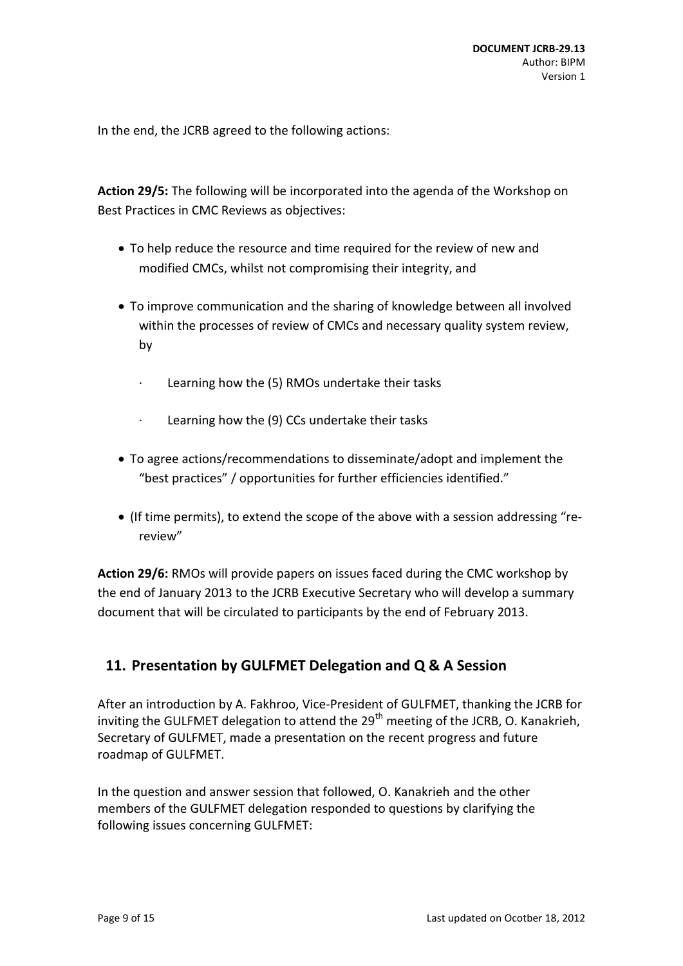In the end, the JCRB agreed to the following actions:

**Action 29/5:** The following will be incorporated into the agenda of the Workshop on Best Practices in CMC Reviews as objectives:

- To help reduce the resource and time required for the review of new and modified CMCs, whilst not compromising their integrity, and
- To improve communication and the sharing of knowledge between all involved within the processes of review of CMCs and necessary quality system review, by
	- · Learning how the (5) RMOs undertake their tasks
	- · Learning how the (9) CCs undertake their tasks
- To agree actions/recommendations to disseminate/adopt and implement the "best practices" / opportunities for further efficiencies identified."
- (If time permits), to extend the scope of the above with a session addressing "rereview"

**Action 29/6:** RMOs will provide papers on issues faced during the CMC workshop by the end of January 2013 to the JCRB Executive Secretary who will develop a summary document that will be circulated to participants by the end of February 2013.

# <span id="page-8-0"></span>**11. Presentation by GULFMET Delegation and Q & A Session**

After an introduction by A. Fakhroo, Vice-President of GULFMET, thanking the JCRB for inviting the GULFMET delegation to attend the  $29<sup>th</sup>$  meeting of the JCRB, O. Kanakrieh, Secretary of GULFMET, made a presentation on the recent progress and future roadmap of GULFMET.

In the question and answer session that followed, O. Kanakrieh and the other members of the GULFMET delegation responded to questions by clarifying the following issues concerning GULFMET: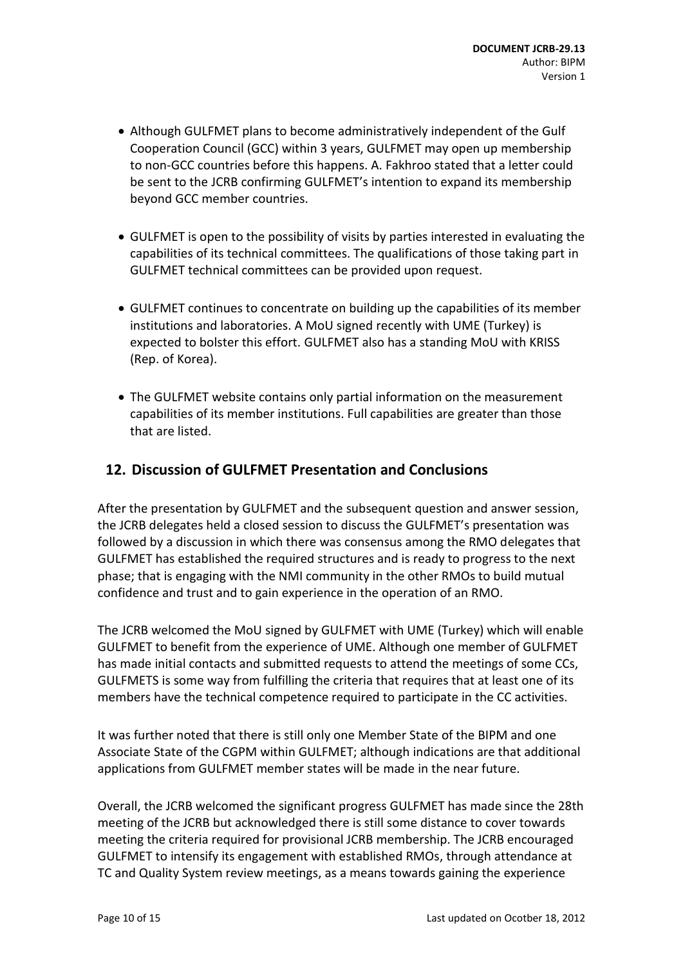- Although GULFMET plans to become administratively independent of the Gulf Cooperation Council (GCC) within 3 years, GULFMET may open up membership to non-GCC countries before this happens. A. Fakhroo stated that a letter could be sent to the JCRB confirming GULFMET's intention to expand its membership beyond GCC member countries.
- GULFMET is open to the possibility of visits by parties interested in evaluating the capabilities of its technical committees. The qualifications of those taking part in GULFMET technical committees can be provided upon request.
- GULFMET continues to concentrate on building up the capabilities of its member institutions and laboratories. A MoU signed recently with UME (Turkey) is expected to bolster this effort. GULFMET also has a standing MoU with KRISS (Rep. of Korea).
- The GULFMET website contains only partial information on the measurement capabilities of its member institutions. Full capabilities are greater than those that are listed.

### <span id="page-9-0"></span>**12. Discussion of GULFMET Presentation and Conclusions**

After the presentation by GULFMET and the subsequent question and answer session, the JCRB delegates held a closed session to discuss the GULFMET's presentation was followed by a discussion in which there was consensus among the RMO delegates that GULFMET has established the required structures and is ready to progress to the next phase; that is engaging with the NMI community in the other RMOs to build mutual confidence and trust and to gain experience in the operation of an RMO.

The JCRB welcomed the MoU signed by GULFMET with UME (Turkey) which will enable GULFMET to benefit from the experience of UME. Although one member of GULFMET has made initial contacts and submitted requests to attend the meetings of some CCs, GULFMETS is some way from fulfilling the criteria that requires that at least one of its members have the technical competence required to participate in the CC activities.

It was further noted that there is still only one Member State of the BIPM and one Associate State of the CGPM within GULFMET; although indications are that additional applications from GULFMET member states will be made in the near future.

Overall, the JCRB welcomed the significant progress GULFMET has made since the 28th meeting of the JCRB but acknowledged there is still some distance to cover towards meeting the criteria required for provisional JCRB membership. The JCRB encouraged GULFMET to intensify its engagement with established RMOs, through attendance at TC and Quality System review meetings, as a means towards gaining the experience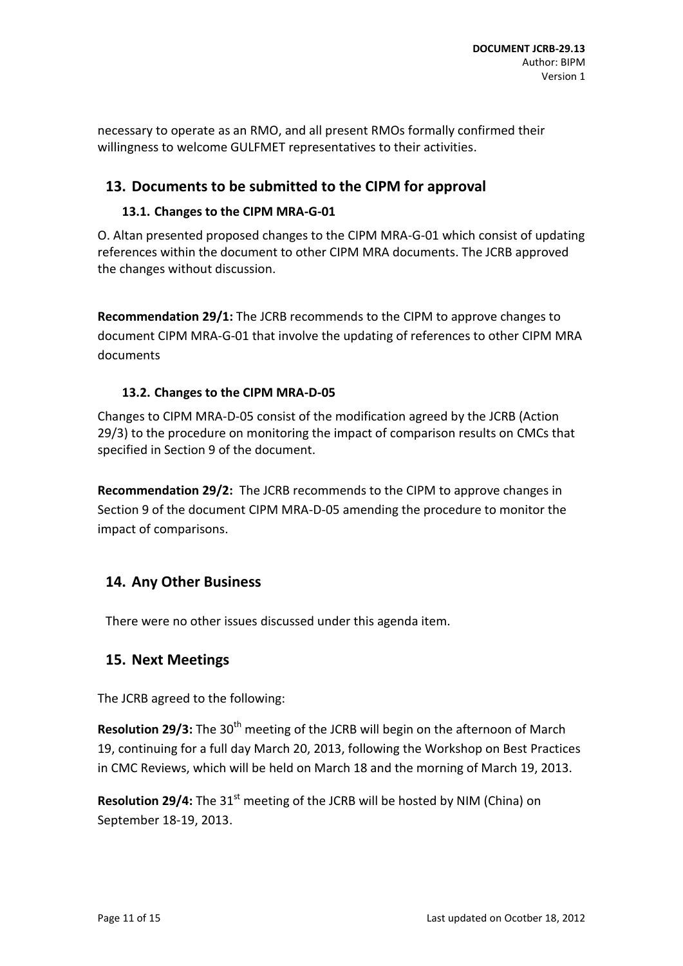necessary to operate as an RMO, and all present RMOs formally confirmed their willingness to welcome GULFMET representatives to their activities.

# <span id="page-10-0"></span>**13. Documents to be submitted to the CIPM for approval**

### **13.1. Changes to the CIPM MRA-G-01**

O. Altan presented proposed changes to the CIPM MRA-G-01 which consist of updating references within the document to other CIPM MRA documents. The JCRB approved the changes without discussion.

**Recommendation 29/1:** The JCRB recommends to the CIPM to approve changes to document CIPM MRA-G-01 that involve the updating of references to other CIPM MRA documents

### **13.2. Changes to the CIPM MRA-D-05**

Changes to CIPM MRA-D-05 consist of the modification agreed by the JCRB (Action 29/3) to the procedure on monitoring the impact of comparison results on CMCs that specified in Section 9 of the document.

**Recommendation 29/2:** The JCRB recommends to the CIPM to approve changes in Section 9 of the document CIPM MRA-D-05 amending the procedure to monitor the impact of comparisons.

# <span id="page-10-1"></span>**14. Any Other Business**

<span id="page-10-2"></span>There were no other issues discussed under this agenda item.

### **15. Next Meetings**

The JCRB agreed to the following:

**Resolution 29/3:** The 30<sup>th</sup> meeting of the JCRB will begin on the afternoon of March 19, continuing for a full day March 20, 2013, following the Workshop on Best Practices in CMC Reviews, which will be held on March 18 and the morning of March 19, 2013.

**Resolution 29/4:** The 31<sup>st</sup> meeting of the JCRB will be hosted by NIM (China) on September 18-19, 2013.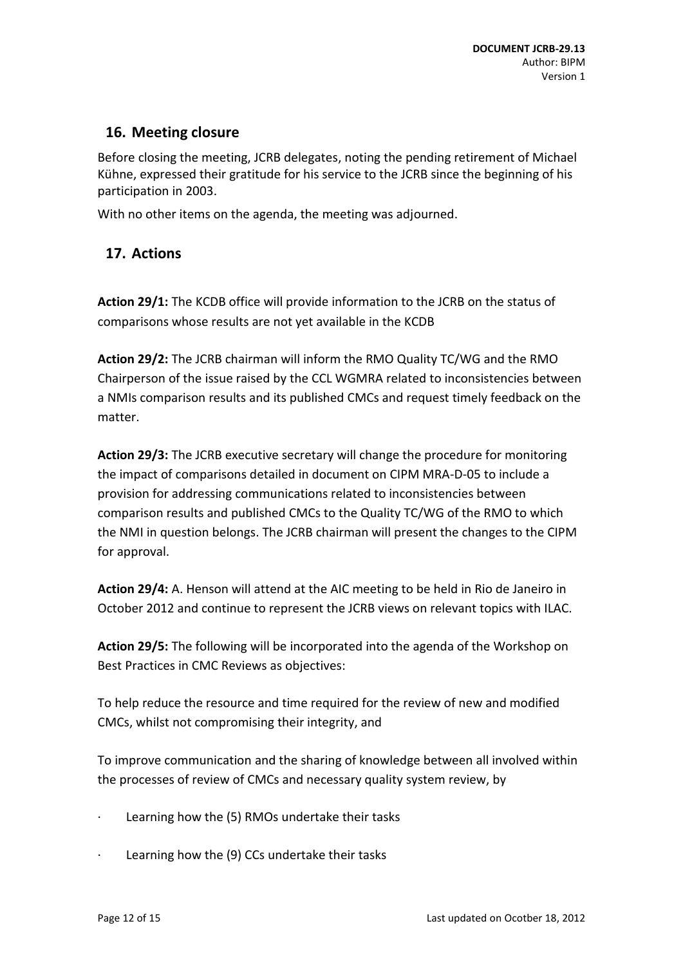# <span id="page-11-0"></span>**16. Meeting closure**

Before closing the meeting, JCRB delegates, noting the pending retirement of Michael Kühne, expressed their gratitude for his service to the JCRB since the beginning of his participation in 2003.

<span id="page-11-1"></span>With no other items on the agenda, the meeting was adjourned.

# **17. Actions**

**Action 29/1:** The KCDB office will provide information to the JCRB on the status of comparisons whose results are not yet available in the KCDB

**Action 29/2:** The JCRB chairman will inform the RMO Quality TC/WG and the RMO Chairperson of the issue raised by the CCL WGMRA related to inconsistencies between a NMIs comparison results and its published CMCs and request timely feedback on the matter.

**Action 29/3:** The JCRB executive secretary will change the procedure for monitoring the impact of comparisons detailed in document on CIPM MRA-D-05 to include a provision for addressing communications related to inconsistencies between comparison results and published CMCs to the Quality TC/WG of the RMO to which the NMI in question belongs. The JCRB chairman will present the changes to the CIPM for approval.

**Action 29/4:** A. Henson will attend at the AIC meeting to be held in Rio de Janeiro in October 2012 and continue to represent the JCRB views on relevant topics with ILAC.

**Action 29/5:** The following will be incorporated into the agenda of the Workshop on Best Practices in CMC Reviews as objectives:

To help reduce the resource and time required for the review of new and modified CMCs, whilst not compromising their integrity, and

To improve communication and the sharing of knowledge between all involved within the processes of review of CMCs and necessary quality system review, by

- Learning how the (5) RMOs undertake their tasks
- Learning how the (9) CCs undertake their tasks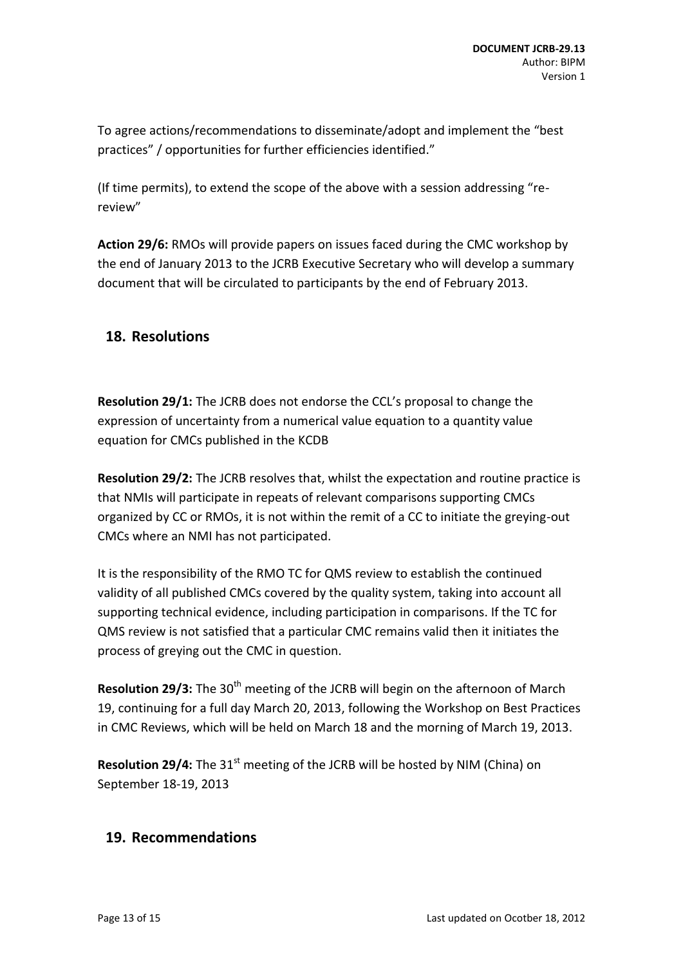To agree actions/recommendations to disseminate/adopt and implement the "best practices" / opportunities for further efficiencies identified."

(If time permits), to extend the scope of the above with a session addressing "rereview"

**Action 29/6:** RMOs will provide papers on issues faced during the CMC workshop by the end of January 2013 to the JCRB Executive Secretary who will develop a summary document that will be circulated to participants by the end of February 2013.

# <span id="page-12-0"></span>**18. Resolutions**

**Resolution 29/1:** The JCRB does not endorse the CCL's proposal to change the expression of uncertainty from a numerical value equation to a quantity value equation for CMCs published in the KCDB

**Resolution 29/2:** The JCRB resolves that, whilst the expectation and routine practice is that NMIs will participate in repeats of relevant comparisons supporting CMCs organized by CC or RMOs, it is not within the remit of a CC to initiate the greying-out CMCs where an NMI has not participated.

It is the responsibility of the RMO TC for QMS review to establish the continued validity of all published CMCs covered by the quality system, taking into account all supporting technical evidence, including participation in comparisons. If the TC for QMS review is not satisfied that a particular CMC remains valid then it initiates the process of greying out the CMC in question.

**Resolution 29/3:** The 30<sup>th</sup> meeting of the JCRB will begin on the afternoon of March 19, continuing for a full day March 20, 2013, following the Workshop on Best Practices in CMC Reviews, which will be held on March 18 and the morning of March 19, 2013.

**Resolution 29/4:** The 31<sup>st</sup> meeting of the JCRB will be hosted by NIM (China) on September 18-19, 2013

# <span id="page-12-1"></span>**19. Recommendations**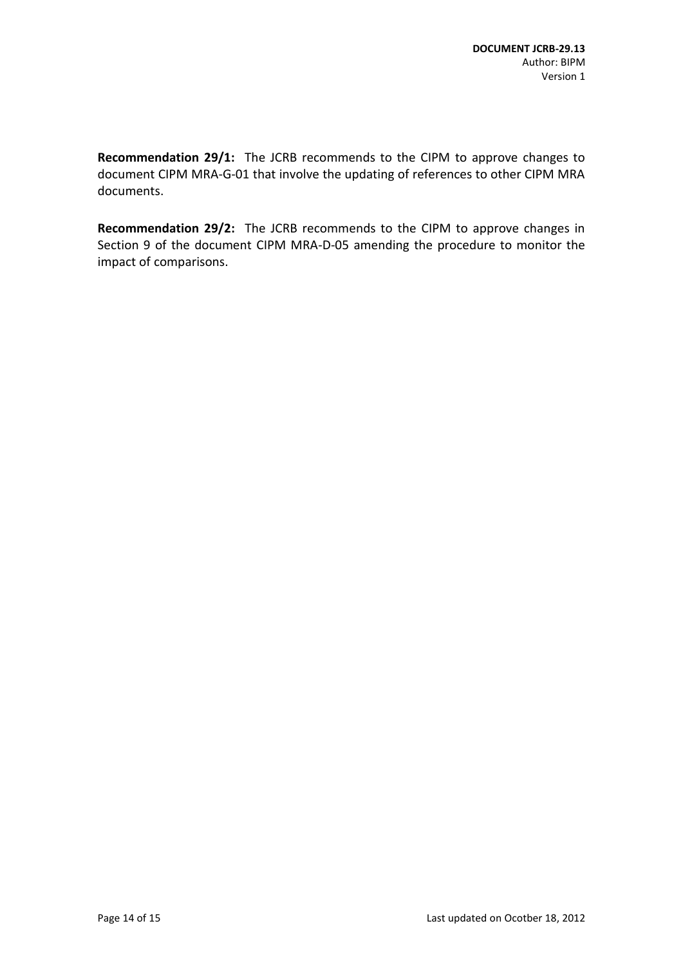**Recommendation 29/1:** The JCRB recommends to the CIPM to approve changes to document CIPM MRA-G-01 that involve the updating of references to other CIPM MRA documents.

**Recommendation 29/2:** The JCRB recommends to the CIPM to approve changes in Section 9 of the document CIPM MRA-D-05 amending the procedure to monitor the impact of comparisons.